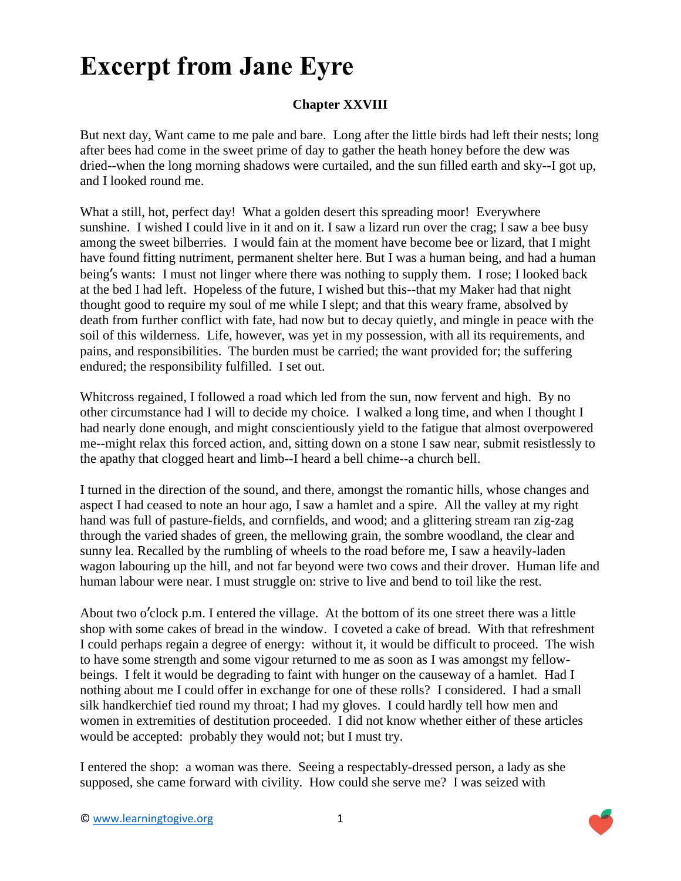## **Excerpt from Jane Eyre**

## **Chapter XXVIII**

But next day, Want came to me pale and bare. Long after the little birds had left their nests; long after bees had come in the sweet prime of day to gather the heath honey before the dew was dried--when the long morning shadows were curtailed, and the sun filled earth and sky--I got up, and I looked round me.

What a still, hot, perfect day! What a golden desert this spreading moor! Everywhere sunshine. I wished I could live in it and on it. I saw a lizard run over the crag; I saw a bee busy among the sweet bilberries. I would fain at the moment have become bee or lizard, that I might have found fitting nutriment, permanent shelter here. But I was a human being, and had a human being's wants: I must not linger where there was nothing to supply them. I rose; I looked back at the bed I had left. Hopeless of the future, I wished but this--that my Maker had that night thought good to require my soul of me while I slept; and that this weary frame, absolved by death from further conflict with fate, had now but to decay quietly, and mingle in peace with the soil of this wilderness. Life, however, was yet in my possession, with all its requirements, and pains, and responsibilities. The burden must be carried; the want provided for; the suffering endured; the responsibility fulfilled. I set out.

Whitcross regained, I followed a road which led from the sun, now fervent and high. By no other circumstance had I will to decide my choice. I walked a long time, and when I thought I had nearly done enough, and might conscientiously yield to the fatigue that almost overpowered me--might relax this forced action, and, sitting down on a stone I saw near, submit resistlessly to the apathy that clogged heart and limb--I heard a bell chime--a church bell.

I turned in the direction of the sound, and there, amongst the romantic hills, whose changes and aspect I had ceased to note an hour ago, I saw a hamlet and a spire. All the valley at my right hand was full of pasture-fields, and cornfields, and wood; and a glittering stream ran zig-zag through the varied shades of green, the mellowing grain, the sombre woodland, the clear and sunny lea. Recalled by the rumbling of wheels to the road before me, I saw a heavily-laden wagon labouring up the hill, and not far beyond were two cows and their drover. Human life and human labour were near. I must struggle on: strive to live and bend to toil like the rest.

About two o'clock p.m. I entered the village. At the bottom of its one street there was a little shop with some cakes of bread in the window. I coveted a cake of bread. With that refreshment I could perhaps regain a degree of energy: without it, it would be difficult to proceed. The wish to have some strength and some vigour returned to me as soon as I was amongst my fellowbeings. I felt it would be degrading to faint with hunger on the causeway of a hamlet. Had I nothing about me I could offer in exchange for one of these rolls? I considered. I had a small silk handkerchief tied round my throat; I had my gloves. I could hardly tell how men and women in extremities of destitution proceeded. I did not know whether either of these articles would be accepted: probably they would not; but I must try.

I entered the shop: a woman was there. Seeing a respectably-dressed person, a lady as she supposed, she came forward with civility. How could she serve me? I was seized with

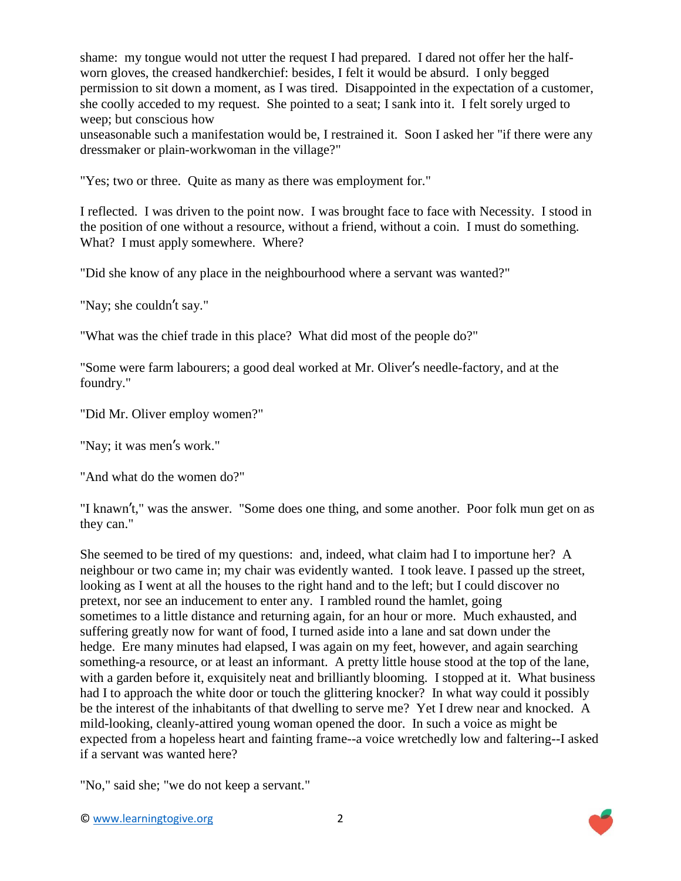shame: my tongue would not utter the request I had prepared. I dared not offer her the halfworn gloves, the creased handkerchief: besides, I felt it would be absurd. I only begged permission to sit down a moment, as I was tired. Disappointed in the expectation of a customer, she coolly acceded to my request. She pointed to a seat; I sank into it. I felt sorely urged to weep; but conscious how

unseasonable such a manifestation would be, I restrained it. Soon I asked her "if there were any dressmaker or plain-workwoman in the village?"

"Yes; two or three. Quite as many as there was employment for."

I reflected. I was driven to the point now. I was brought face to face with Necessity. I stood in the position of one without a resource, without a friend, without a coin. I must do something. What? I must apply somewhere. Where?

"Did she know of any place in the neighbourhood where a servant was wanted?"

"Nay; she couldn't say."

"What was the chief trade in this place? What did most of the people do?"

"Some were farm labourers; a good deal worked at Mr. Oliver's needle-factory, and at the foundry."

"Did Mr. Oliver employ women?"

"Nay; it was men's work."

"And what do the women do?"

"I knawn't," was the answer. "Some does one thing, and some another. Poor folk mun get on as they can."

She seemed to be tired of my questions: and, indeed, what claim had I to importune her? A neighbour or two came in; my chair was evidently wanted. I took leave. I passed up the street, looking as I went at all the houses to the right hand and to the left; but I could discover no pretext, nor see an inducement to enter any. I rambled round the hamlet, going sometimes to a little distance and returning again, for an hour or more. Much exhausted, and suffering greatly now for want of food, I turned aside into a lane and sat down under the hedge. Ere many minutes had elapsed, I was again on my feet, however, and again searching something-a resource, or at least an informant. A pretty little house stood at the top of the lane, with a garden before it, exquisitely neat and brilliantly blooming. I stopped at it. What business had I to approach the white door or touch the glittering knocker? In what way could it possibly be the interest of the inhabitants of that dwelling to serve me? Yet I drew near and knocked. A mild-looking, cleanly-attired young woman opened the door. In such a voice as might be expected from a hopeless heart and fainting frame--a voice wretchedly low and faltering--I asked if a servant was wanted here?

"No," said she; "we do not keep a servant."

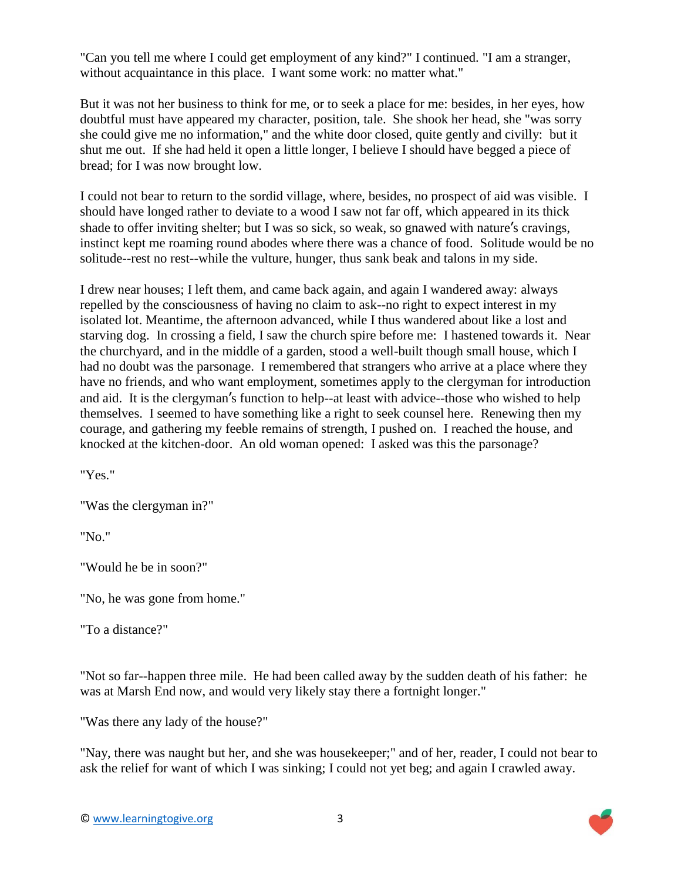"Can you tell me where I could get employment of any kind?" I continued. "I am a stranger, without acquaintance in this place. I want some work: no matter what."

But it was not her business to think for me, or to seek a place for me: besides, in her eyes, how doubtful must have appeared my character, position, tale. She shook her head, she "was sorry she could give me no information," and the white door closed, quite gently and civilly: but it shut me out. If she had held it open a little longer, I believe I should have begged a piece of bread; for I was now brought low.

I could not bear to return to the sordid village, where, besides, no prospect of aid was visible. I should have longed rather to deviate to a wood I saw not far off, which appeared in its thick shade to offer inviting shelter; but I was so sick, so weak, so gnawed with nature's cravings, instinct kept me roaming round abodes where there was a chance of food. Solitude would be no solitude--rest no rest--while the vulture, hunger, thus sank beak and talons in my side.

I drew near houses; I left them, and came back again, and again I wandered away: always repelled by the consciousness of having no claim to ask--no right to expect interest in my isolated lot. Meantime, the afternoon advanced, while I thus wandered about like a lost and starving dog. In crossing a field, I saw the church spire before me: I hastened towards it. Near the churchyard, and in the middle of a garden, stood a well-built though small house, which I had no doubt was the parsonage. I remembered that strangers who arrive at a place where they have no friends, and who want employment, sometimes apply to the clergyman for introduction and aid. It is the clergyman's function to help--at least with advice--those who wished to help themselves. I seemed to have something like a right to seek counsel here. Renewing then my courage, and gathering my feeble remains of strength, I pushed on. I reached the house, and knocked at the kitchen-door. An old woman opened: I asked was this the parsonage?

"Yes."

"Was the clergyman in?"

"No."

"Would he be in soon?"

"No, he was gone from home."

"To a distance?"

"Not so far--happen three mile. He had been called away by the sudden death of his father: he was at Marsh End now, and would very likely stay there a fortnight longer."

"Was there any lady of the house?"

"Nay, there was naught but her, and she was housekeeper;" and of her, reader, I could not bear to ask the relief for want of which I was sinking; I could not yet beg; and again I crawled away.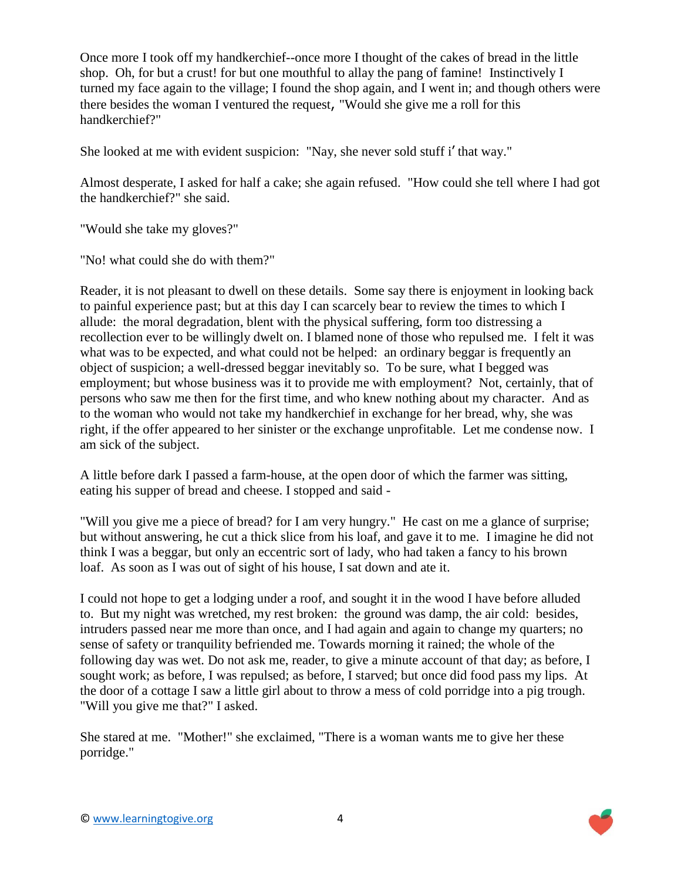Once more I took off my handkerchief--once more I thought of the cakes of bread in the little shop. Oh, for but a crust! for but one mouthful to allay the pang of famine! Instinctively I turned my face again to the village; I found the shop again, and I went in; and though others were there besides the woman I ventured the request, "Would she give me a roll for this handkerchief?"

She looked at me with evident suspicion: "Nay, she never sold stuff i' that way."

Almost desperate, I asked for half a cake; she again refused. "How could she tell where I had got the handkerchief?" she said.

"Would she take my gloves?"

"No! what could she do with them?"

Reader, it is not pleasant to dwell on these details. Some say there is enjoyment in looking back to painful experience past; but at this day I can scarcely bear to review the times to which I allude: the moral degradation, blent with the physical suffering, form too distressing a recollection ever to be willingly dwelt on. I blamed none of those who repulsed me. I felt it was what was to be expected, and what could not be helped: an ordinary beggar is frequently an object of suspicion; a well-dressed beggar inevitably so. To be sure, what I begged was employment; but whose business was it to provide me with employment? Not, certainly, that of persons who saw me then for the first time, and who knew nothing about my character. And as to the woman who would not take my handkerchief in exchange for her bread, why, she was right, if the offer appeared to her sinister or the exchange unprofitable. Let me condense now. I am sick of the subject.

A little before dark I passed a farm-house, at the open door of which the farmer was sitting, eating his supper of bread and cheese. I stopped and said -

"Will you give me a piece of bread? for I am very hungry." He cast on me a glance of surprise; but without answering, he cut a thick slice from his loaf, and gave it to me. I imagine he did not think I was a beggar, but only an eccentric sort of lady, who had taken a fancy to his brown loaf. As soon as I was out of sight of his house, I sat down and ate it.

I could not hope to get a lodging under a roof, and sought it in the wood I have before alluded to. But my night was wretched, my rest broken: the ground was damp, the air cold: besides, intruders passed near me more than once, and I had again and again to change my quarters; no sense of safety or tranquility befriended me. Towards morning it rained; the whole of the following day was wet. Do not ask me, reader, to give a minute account of that day; as before, I sought work; as before, I was repulsed; as before, I starved; but once did food pass my lips. At the door of a cottage I saw a little girl about to throw a mess of cold porridge into a pig trough. "Will you give me that?" I asked.

She stared at me. "Mother!" she exclaimed, "There is a woman wants me to give her these porridge."